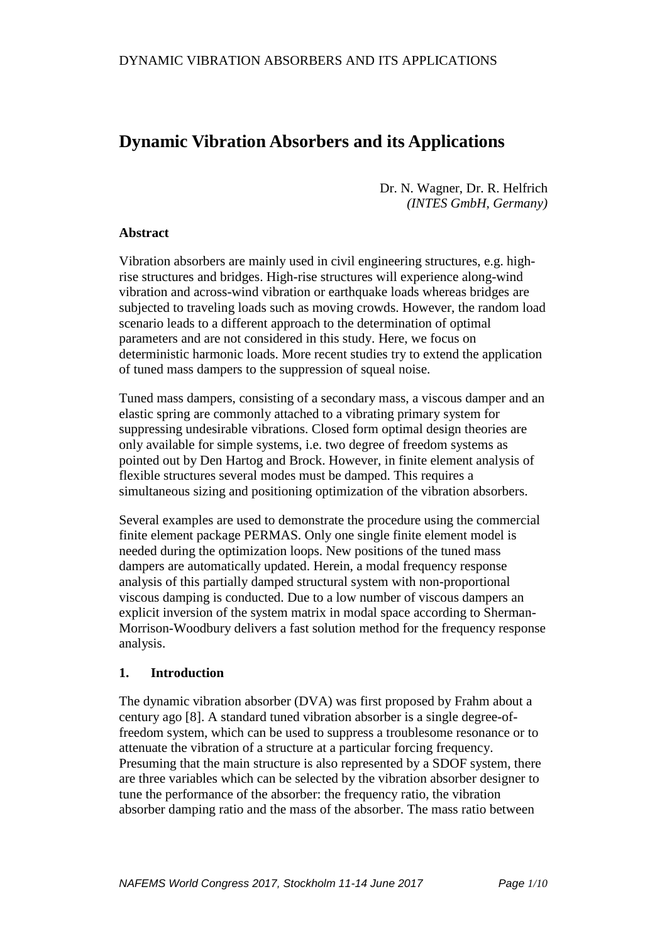# **Dynamic Vibration Absorbers and its Applications**

Dr. N. Wagner, Dr. R. Helfrich *(INTES GmbH, Germany)*

# **Abstract**

Vibration absorbers are mainly used in civil engineering structures, e.g. highrise structures and bridges. High-rise structures will experience along-wind vibration and across-wind vibration or earthquake loads whereas bridges are subjected to traveling loads such as moving crowds. However, the random load scenario leads to a different approach to the determination of optimal parameters and are not considered in this study. Here, we focus on deterministic harmonic loads. More recent studies try to extend the application of tuned mass dampers to the suppression of squeal noise.

Tuned mass dampers, consisting of a secondary mass, a viscous damper and an elastic spring are commonly attached to a vibrating primary system for suppressing undesirable vibrations. Closed form optimal design theories are only available for simple systems, i.e. two degree of freedom systems as pointed out by Den Hartog and Brock. However, in finite element analysis of flexible structures several modes must be damped. This requires a simultaneous sizing and positioning optimization of the vibration absorbers.

Several examples are used to demonstrate the procedure using the commercial finite element package PERMAS. Only one single finite element model is needed during the optimization loops. New positions of the tuned mass dampers are automatically updated. Herein, a modal frequency response analysis of this partially damped structural system with non-proportional viscous damping is conducted. Due to a low number of viscous dampers an explicit inversion of the system matrix in modal space according to Sherman-Morrison-Woodbury delivers a fast solution method for the frequency response analysis.

#### **1. Introduction**

The dynamic vibration absorber (DVA) was first proposed by Frahm about a century ago [8]. A standard tuned vibration absorber is a single degree-offreedom system, which can be used to suppress a troublesome resonance or to attenuate the vibration of a structure at a particular forcing frequency. Presuming that the main structure is also represented by a SDOF system, there are three variables which can be selected by the vibration absorber designer to tune the performance of the absorber: the frequency ratio, the vibration absorber damping ratio and the mass of the absorber. The mass ratio between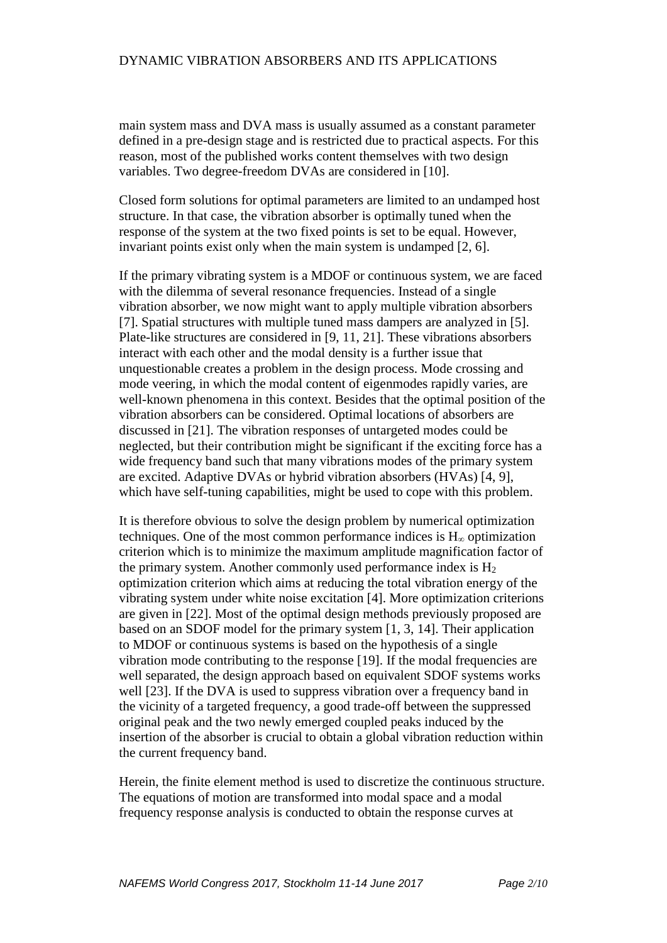main system mass and DVA mass is usually assumed as a constant parameter defined in a pre-design stage and is restricted due to practical aspects. For this reason, most of the published works content themselves with two design variables. Two degree-freedom DVAs are considered in [10].

Closed form solutions for optimal parameters are limited to an undamped host structure. In that case, the vibration absorber is optimally tuned when the response of the system at the two fixed points is set to be equal. However, invariant points exist only when the main system is undamped [2, 6].

If the primary vibrating system is a MDOF or continuous system, we are faced with the dilemma of several resonance frequencies. Instead of a single vibration absorber, we now might want to apply multiple vibration absorbers [7]. Spatial structures with multiple tuned mass dampers are analyzed in [5]. Plate-like structures are considered in [9, 11, 21]. These vibrations absorbers interact with each other and the modal density is a further issue that unquestionable creates a problem in the design process. Mode crossing and mode veering, in which the modal content of eigenmodes rapidly varies, are well-known phenomena in this context. Besides that the optimal position of the vibration absorbers can be considered. Optimal locations of absorbers are discussed in [21]. The vibration responses of untargeted modes could be neglected, but their contribution might be significant if the exciting force has a wide frequency band such that many vibrations modes of the primary system are excited. Adaptive DVAs or hybrid vibration absorbers (HVAs) [4, 9], which have self-tuning capabilities, might be used to cope with this problem.

It is therefore obvious to solve the design problem by numerical optimization techniques. One of the most common performance indices is  $H_{\infty}$  optimization criterion which is to minimize the maximum amplitude magnification factor of the primary system. Another commonly used performance index is  $H_2$ optimization criterion which aims at reducing the total vibration energy of the vibrating system under white noise excitation [4]. More optimization criterions are given in [22]. Most of the optimal design methods previously proposed are based on an SDOF model for the primary system [1, 3, 14]. Their application to MDOF or continuous systems is based on the hypothesis of a single vibration mode contributing to the response [19]. If the modal frequencies are well separated, the design approach based on equivalent SDOF systems works well [23]. If the DVA is used to suppress vibration over a frequency band in the vicinity of a targeted frequency, a good trade-off between the suppressed original peak and the two newly emerged coupled peaks induced by the insertion of the absorber is crucial to obtain a global vibration reduction within the current frequency band.

Herein, the finite element method is used to discretize the continuous structure. The equations of motion are transformed into modal space and a modal frequency response analysis is conducted to obtain the response curves at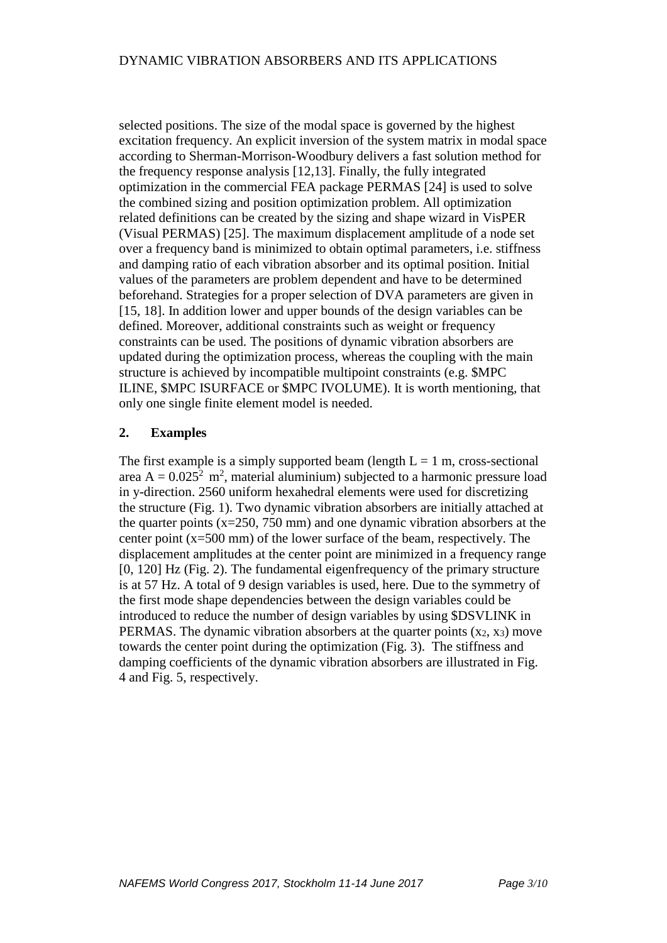selected positions. The size of the modal space is governed by the highest excitation frequency. An explicit inversion of the system matrix in modal space according to Sherman-Morrison-Woodbury delivers a fast solution method for the frequency response analysis [12,13]. Finally, the fully integrated optimization in the commercial FEA package PERMAS [24] is used to solve the combined sizing and position optimization problem. All optimization related definitions can be created by the sizing and shape wizard in VisPER (Visual PERMAS) [25]. The maximum displacement amplitude of a node set over a frequency band is minimized to obtain optimal parameters, i.e. stiffness and damping ratio of each vibration absorber and its optimal position. Initial values of the parameters are problem dependent and have to be determined beforehand. Strategies for a proper selection of DVA parameters are given in [15, 18]. In addition lower and upper bounds of the design variables can be defined. Moreover, additional constraints such as weight or frequency constraints can be used. The positions of dynamic vibration absorbers are updated during the optimization process, whereas the coupling with the main structure is achieved by incompatible multipoint constraints (e.g. \$MPC ILINE, \$MPC ISURFACE or \$MPC IVOLUME). It is worth mentioning, that only one single finite element model is needed.

# **2. Examples**

The first example is a simply supported beam (length  $L = 1$  m, cross-sectional area  $A = 0.025^2$  m<sup>2</sup>, material aluminium) subjected to a harmonic pressure load in y-direction. 2560 uniform hexahedral elements were used for discretizing the structure (Fig. 1). Two dynamic vibration absorbers are initially attached at the quarter points  $(x=250, 750 \text{ mm})$  and one dynamic vibration absorbers at the center point (x=500 mm) of the lower surface of the beam, respectively. The displacement amplitudes at the center point are minimized in a frequency range [0, 120] Hz (Fig. 2). The fundamental eigenfrequency of the primary structure is at 57 Hz. A total of 9 design variables is used, here. Due to the symmetry of the first mode shape dependencies between the design variables could be introduced to reduce the number of design variables by using \$DSVLINK in PERMAS. The dynamic vibration absorbers at the quarter points  $(x_2, x_3)$  move towards the center point during the optimization (Fig. 3). The stiffness and damping coefficients of the dynamic vibration absorbers are illustrated in Fig. 4 and Fig. 5, respectively.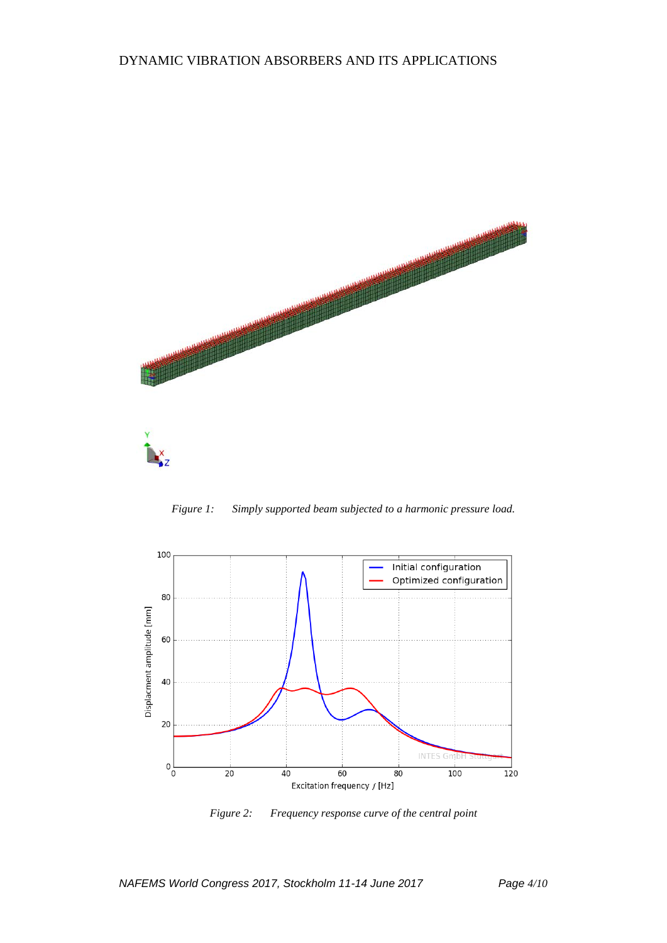

*Figure 1: Simply supported beam subjected to a harmonic pressure load.*



*Figure 2: Frequency response curve of the central point*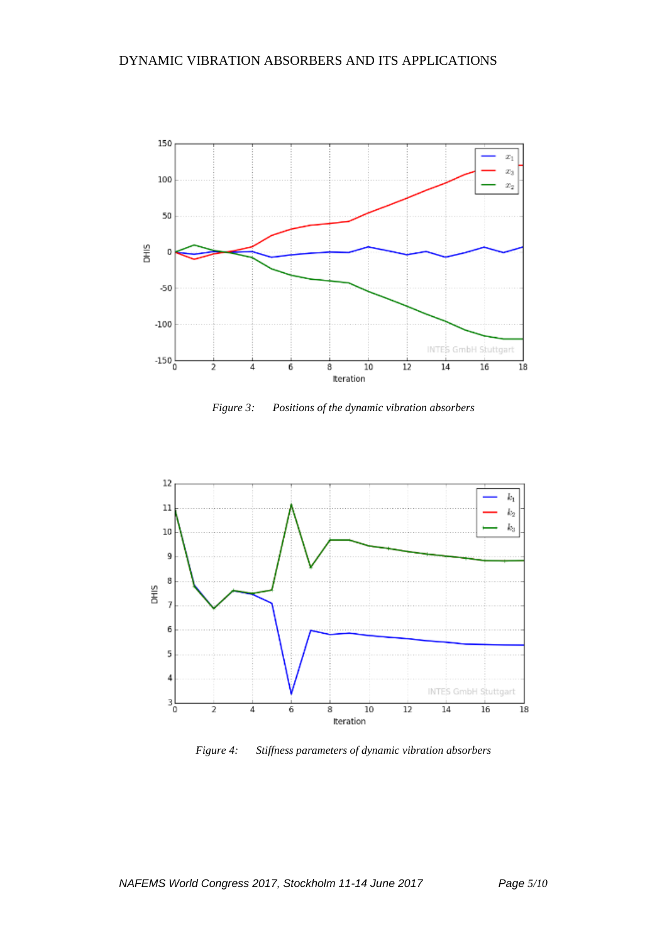

*Figure 3: Positions of the dynamic vibration absorbers*



*Figure 4: Stiffness parameters of dynamic vibration absorbers*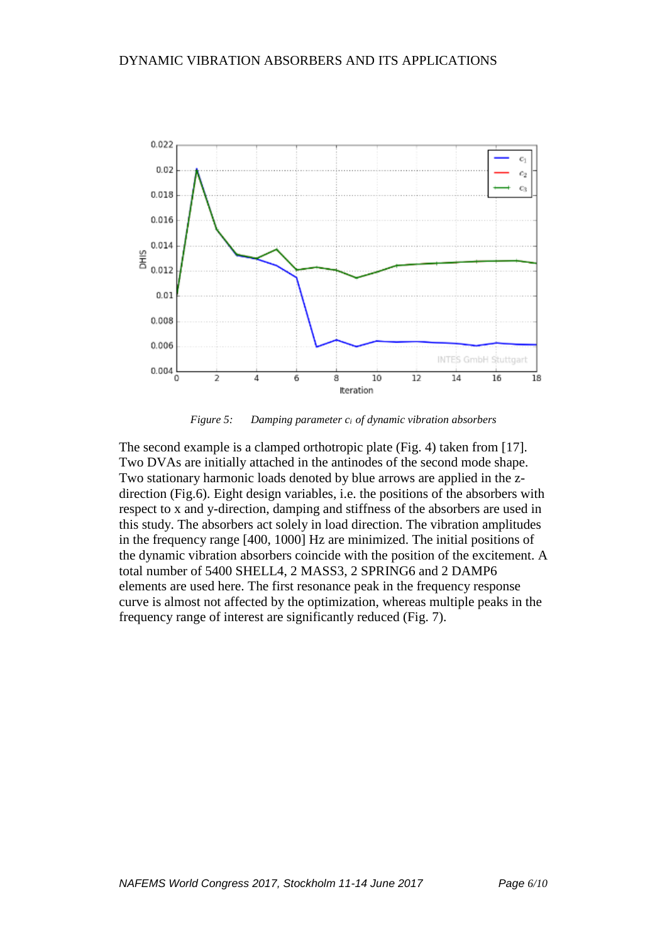

*Figure 5: Damping parameter ci of dynamic vibration absorbers*

The second example is a clamped orthotropic plate (Fig. 4) taken from [17]. Two DVAs are initially attached in the antinodes of the second mode shape. Two stationary harmonic loads denoted by blue arrows are applied in the zdirection (Fig.6). Eight design variables, i.e. the positions of the absorbers with respect to x and y-direction, damping and stiffness of the absorbers are used in this study. The absorbers act solely in load direction. The vibration amplitudes in the frequency range [400, 1000] Hz are minimized. The initial positions of the dynamic vibration absorbers coincide with the position of the excitement. A total number of 5400 SHELL4, 2 MASS3, 2 SPRING6 and 2 DAMP6 elements are used here. The first resonance peak in the frequency response curve is almost not affected by the optimization, whereas multiple peaks in the frequency range of interest are significantly reduced (Fig. 7).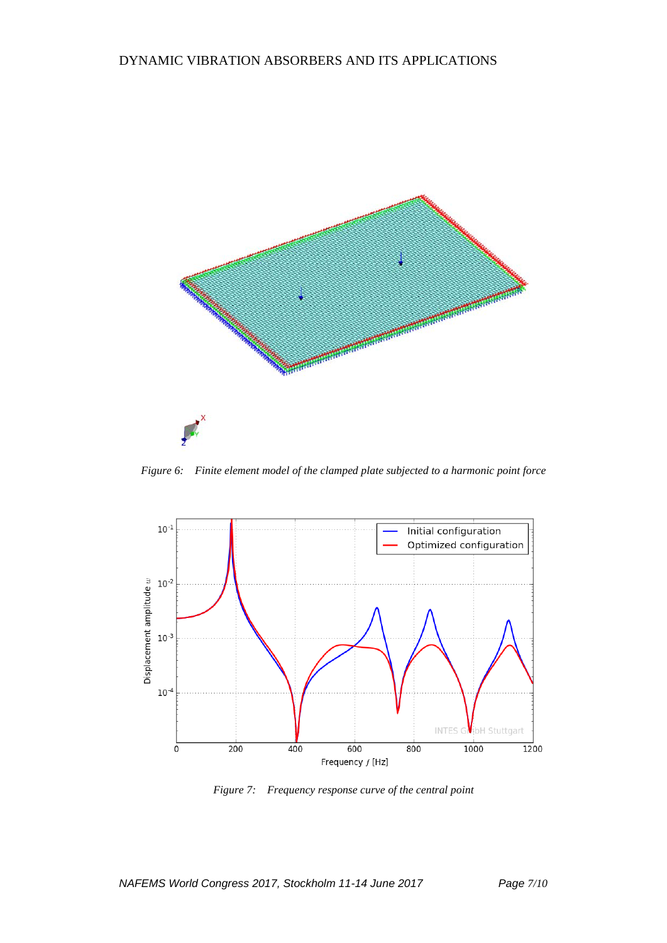

*Figure 6: Finite element model of the clamped plate subjected to a harmonic point force*



*Figure 7: Frequency response curve of the central point*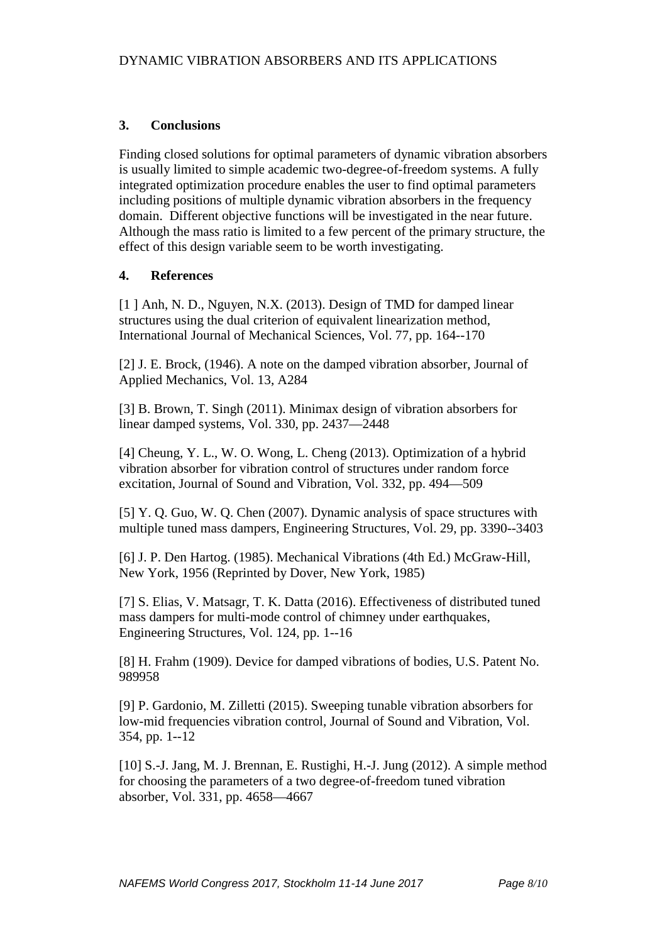# **3. Conclusions**

Finding closed solutions for optimal parameters of dynamic vibration absorbers is usually limited to simple academic two-degree-of-freedom systems. A fully integrated optimization procedure enables the user to find optimal parameters including positions of multiple dynamic vibration absorbers in the frequency domain. Different objective functions will be investigated in the near future. Although the mass ratio is limited to a few percent of the primary structure, the effect of this design variable seem to be worth investigating.

# **4. References**

[1] Anh, N. D., Nguyen, N.X. (2013). Design of TMD for damped linear structures using the dual criterion of equivalent linearization method, International Journal of Mechanical Sciences, Vol. 77, pp. 164--170

[2] J. E. Brock, (1946). A note on the damped vibration absorber, Journal of Applied Mechanics, Vol. 13, A284

[3] B. Brown, T. Singh (2011). Minimax design of vibration absorbers for linear damped systems, Vol. 330, pp. 2437—2448

[4] Cheung, Y. L., W. O. Wong, L. Cheng (2013). Optimization of a hybrid vibration absorber for vibration control of structures under random force excitation, Journal of Sound and Vibration, Vol. 332, pp. 494—509

[5] Y. Q. Guo, W. Q. Chen (2007). Dynamic analysis of space structures with multiple tuned mass dampers, Engineering Structures, Vol. 29, pp. 3390--3403

[6] J. P. Den Hartog. (1985). Mechanical Vibrations (4th Ed.) McGraw-Hill, New York, 1956 (Reprinted by Dover, New York, 1985)

[7] S. Elias, V. Matsagr, T. K. Datta (2016). Effectiveness of distributed tuned mass dampers for multi-mode control of chimney under earthquakes, Engineering Structures, Vol. 124, pp. 1--16

[8] H. Frahm (1909). Device for damped vibrations of bodies, U.S. Patent No. 989958

[9] P. Gardonio, M. Zilletti (2015). Sweeping tunable vibration absorbers for low-mid frequencies vibration control, Journal of Sound and Vibration, Vol. 354, pp. 1--12

[10] S.-J. Jang, M. J. Brennan, E. Rustighi, H.-J. Jung (2012). A simple method for choosing the parameters of a two degree-of-freedom tuned vibration absorber, Vol. 331, pp. 4658—4667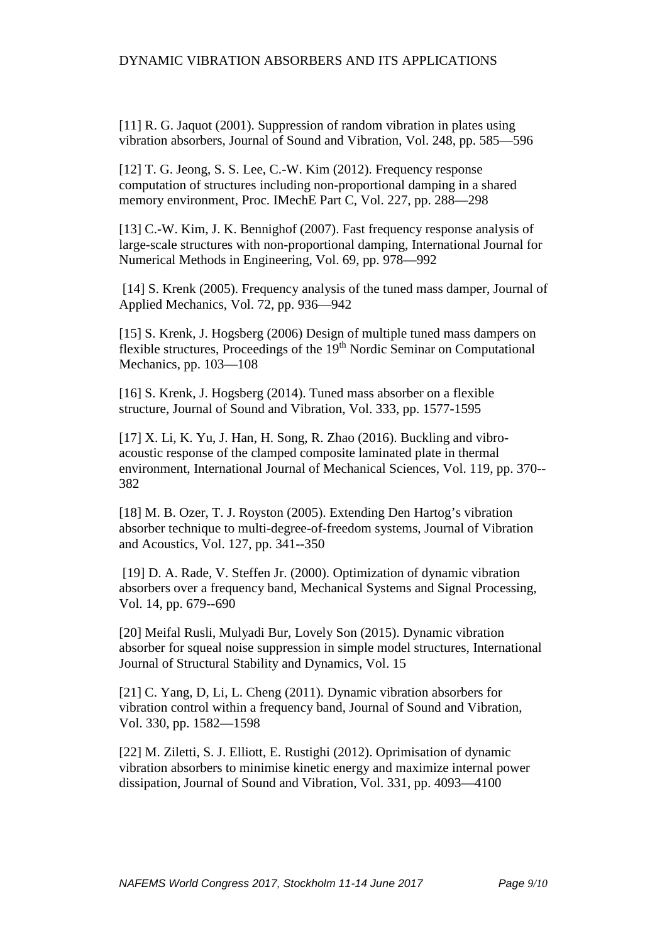[11] R. G. Jaquot (2001). Suppression of random vibration in plates using vibration absorbers, Journal of Sound and Vibration, Vol. 248, pp. 585—596

[12] T. G. Jeong, S. S. Lee, C.-W. Kim (2012). Frequency response computation of structures including non-proportional damping in a shared memory environment, Proc. IMechE Part C, Vol. 227, pp. 288—298

[13] C.-W. Kim, J. K. Bennighof (2007). Fast frequency response analysis of large-scale structures with non-proportional damping, International Journal for Numerical Methods in Engineering, Vol. 69, pp. 978—992

[14] S. Krenk (2005). Frequency analysis of the tuned mass damper, Journal of Applied Mechanics, Vol. 72, pp. 936—942

[15] S. Krenk, J. Hogsberg (2006) Design of multiple tuned mass dampers on flexible structures, Proceedings of the 19th Nordic Seminar on Computational Mechanics, pp. 103—108

[16] S. Krenk, J. Hogsberg (2014). Tuned mass absorber on a flexible structure, Journal of Sound and Vibration, Vol. 333, pp. 1577-1595

[17] X. Li, K. Yu, J. Han, H. Song, R. Zhao (2016). Buckling and vibroacoustic response of the clamped composite laminated plate in thermal environment, International Journal of Mechanical Sciences, Vol. 119, pp. 370-- 382

[18] M. B. Ozer, T. J. Royston (2005). Extending Den Hartog's vibration absorber technique to multi-degree-of-freedom systems, Journal of Vibration and Acoustics, Vol. 127, pp. 341--350

[19] D. A. Rade, V. Steffen Jr. (2000). Optimization of dynamic vibration absorbers over a frequency band, Mechanical Systems and Signal Processing, Vol. 14, pp. 679--690

[20] Meifal Rusli, Mulyadi Bur, Lovely Son (2015). Dynamic vibration absorber for squeal noise suppression in simple model structures, International Journal of Structural Stability and Dynamics, Vol. 15

[21] C. Yang, D, Li, L. Cheng (2011). Dynamic vibration absorbers for vibration control within a frequency band, Journal of Sound and Vibration, Vol. 330, pp. 1582—1598

[22] M. Ziletti, S. J. Elliott, E. Rustighi (2012). Oprimisation of dynamic vibration absorbers to minimise kinetic energy and maximize internal power dissipation, Journal of Sound and Vibration, Vol. 331, pp. 4093—4100